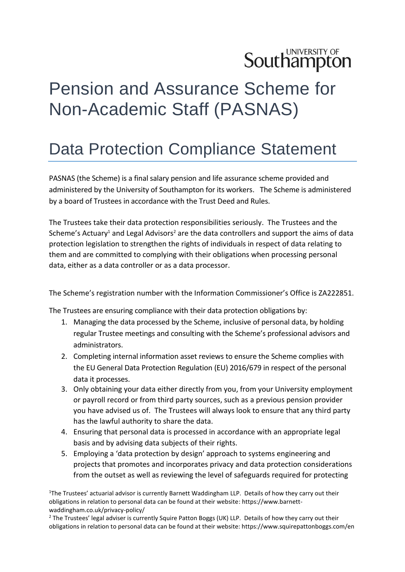## **Southampton**

## Pension and Assurance Scheme for Non-Academic Staff (PASNAS)

## Data Protection Compliance Statement

PASNAS (the Scheme) is a final salary pension and life assurance scheme provided and administered by the University of Southampton for its workers. The Scheme is administered by a board of Trustees in accordance with the Trust Deed and Rules.

The Trustees take their data protection responsibilities seriously. The Trustees and the Scheme's Actuary<sup>1</sup> and Legal Advisors<sup>2</sup> are the data controllers and support the aims of data protection legislation to strengthen the rights of individuals in respect of data relating to them and are committed to complying with their obligations when processing personal data, either as a data controller or as a data processor.

The Scheme's registration number with the Information Commissioner's Office is ZA222851.

The Trustees are ensuring compliance with their data protection obligations by:

- 1. Managing the data processed by the Scheme, inclusive of personal data, by holding regular Trustee meetings and consulting with the Scheme's professional advisors and administrators.
- 2. Completing internal information asset reviews to ensure the Scheme complies with the EU General Data Protection Regulation (EU) 2016/679 in respect of the personal data it processes.
- 3. Only obtaining your data either directly from you, from your University employment or payroll record or from third party sources, such as a previous pension provider you have advised us of. The Trustees will always look to ensure that any third party has the lawful authority to share the data.
- 4. Ensuring that personal data is processed in accordance with an appropriate legal basis and by advising data subjects of their rights.
- 5. Employing a 'data protection by design' approach to systems engineering and projects that promotes and incorporates privacy and data protection considerations from the outset as well as reviewing the level of safeguards required for protecting

<sup>1</sup>The Trustees' actuarial advisor is currently Barnett Waddingham LLP. Details of how they carry out their obligations in relation to personal data can be found at their website: [https://www.barnett](https://www.barnett-waddingham.co.uk/privacy-policy/)[waddingham.co.uk/privacy-policy/](https://www.barnett-waddingham.co.uk/privacy-policy/)

 $<sup>2</sup>$  The Trustees' legal adviser is currently Squire Patton Boggs (UK) LLP. Details of how they carry out their</sup> obligations in relation to personal data can be found at their website: https://www.squirepattonboggs.com/en